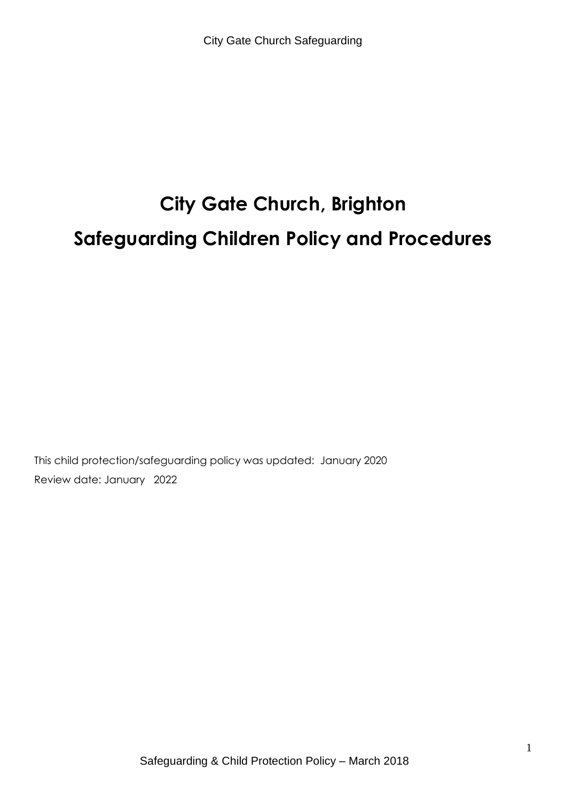# **City Gate Church, Brighton Safeguarding Children Policy and Procedures**

This child protection/safeguarding policy was updated: January 2020 Review date: January 2022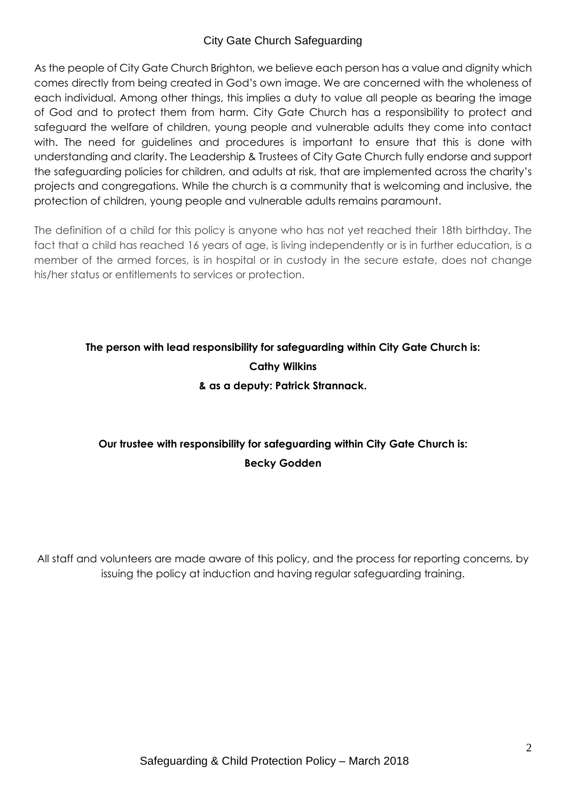As the people of City Gate Church Brighton, we believe each person has a value and dignity which comes directly from being created in God's own image. We are concerned with the wholeness of each individual. Among other things, this implies a duty to value all people as bearing the image of God and to protect them from harm. City Gate Church has a responsibility to protect and safeguard the welfare of children, young people and vulnerable adults they come into contact with. The need for guidelines and procedures is important to ensure that this is done with understanding and clarity. The Leadership & Trustees of City Gate Church fully endorse and support the safeguarding policies for children, and adults at risk, that are implemented across the charity's projects and congregations. While the church is a community that is welcoming and inclusive, the protection of children, young people and vulnerable adults remains paramount.

The definition of a child for this policy is anyone who has not yet reached their 18th birthday. The fact that a child has reached 16 years of age, is living independently or is in further education, is a member of the armed forces, is in hospital or in custody in the secure estate, does not change his/her status or entitlements to services or protection.

# **The person with lead responsibility for safeguarding within City Gate Church is: Cathy Wilkins & as a deputy: Patrick Strannack.**

# **Our trustee with responsibility for safeguarding within City Gate Church is: Becky Godden**

All staff and volunteers are made aware of this policy, and the process for reporting concerns, by issuing the policy at induction and having regular safeguarding training.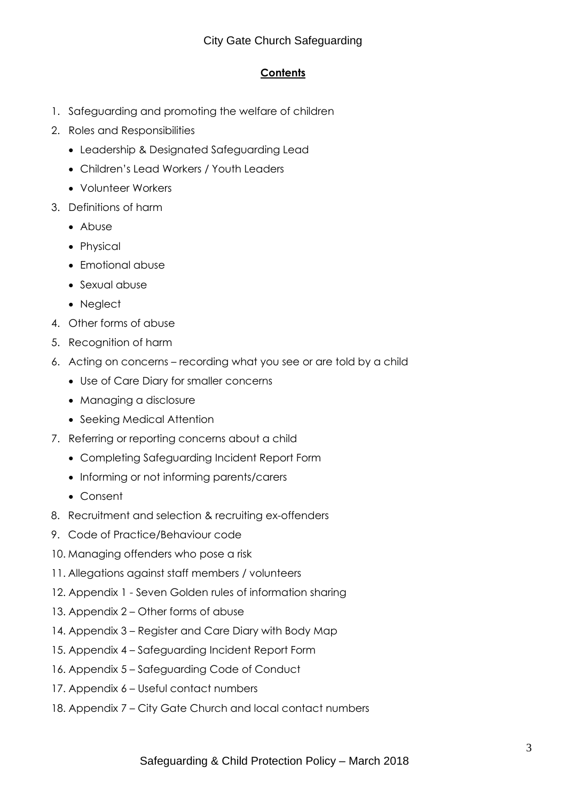# **Contents**

- 1. Safeguarding and promoting the welfare of children
- 2. Roles and Responsibilities
	- Leadership & Designated Safeguarding Lead
	- Children's Lead Workers / Youth Leaders
	- Volunteer Workers
- 3. Definitions of harm
	- Abuse
	- Physical
	- Emotional abuse
	- Sexual abuse
	- Neglect
- 4. Other forms of abuse
- 5. Recognition of harm
- 6. Acting on concerns recording what you see or are told by a child
	- Use of Care Diary for smaller concerns
	- Managing a disclosure
	- Seeking Medical Attention
- 7. Referring or reporting concerns about a child
	- Completing Safeguarding Incident Report Form
	- Informing or not informing parents/carers
	- Consent
- 8. Recruitment and selection & recruiting ex-offenders
- 9. Code of Practice/Behaviour code
- 10. Managing offenders who pose a risk
- 11. Allegations against staff members / volunteers
- 12. Appendix 1 Seven Golden rules of information sharing
- 13. Appendix 2 Other forms of abuse
- 14. Appendix 3 Register and Care Diary with Body Map
- 15. Appendix 4 Safeguarding Incident Report Form
- 16. Appendix 5 Safeguarding Code of Conduct
- 17. Appendix 6 Useful contact numbers
- 18. Appendix 7 City Gate Church and local contact numbers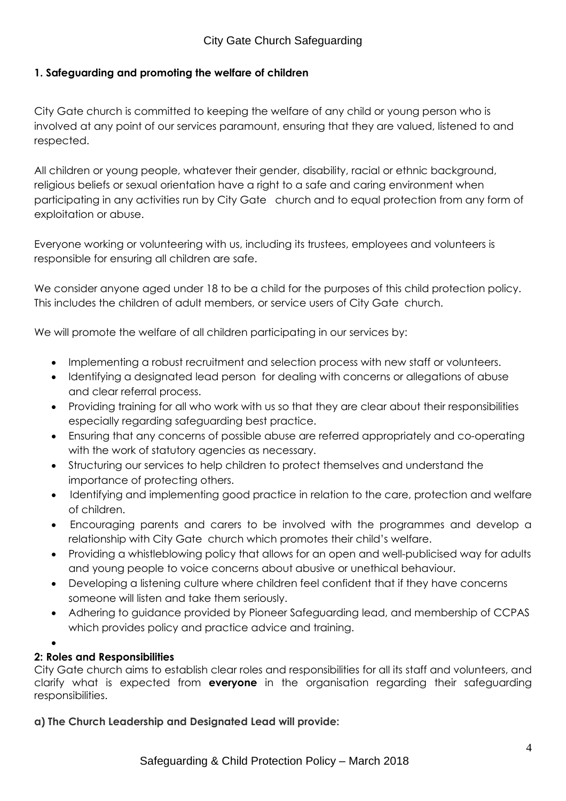# **1. Safeguarding and promoting the welfare of children**

City Gate church is committed to keeping the welfare of any child or young person who is involved at any point of our services paramount, ensuring that they are valued, listened to and respected.

All children or young people, whatever their gender, disability, racial or ethnic background, religious beliefs or sexual orientation have a right to a safe and caring environment when participating in any activities run by City Gate church and to equal protection from any form of exploitation or abuse.

Everyone working or volunteering with us, including its trustees, employees and volunteers is responsible for ensuring all children are safe.

We consider anyone aged under 18 to be a child for the purposes of this child protection policy. This includes the children of adult members, or service users of City Gate church.

We will promote the welfare of all children participating in our services by:

- Implementing a robust recruitment and selection process with new staff or volunteers.
- Identifying a designated lead person for dealing with concerns or allegations of abuse and clear referral process.
- Providing training for all who work with us so that they are clear about their responsibilities especially regarding safeguarding best practice.
- Ensuring that any concerns of possible abuse are referred appropriately and co-operating with the work of statutory agencies as necessary.
- Structuring our services to help children to protect themselves and understand the importance of protecting others.
- Identifying and implementing good practice in relation to the care, protection and welfare of children.
- Encouraging parents and carers to be involved with the programmes and develop a relationship with City Gate church which promotes their child's welfare.
- Providing a whistleblowing policy that allows for an open and well-publicised way for adults and young people to voice concerns about abusive or unethical behaviour.
- Developing a listening culture where children feel confident that if they have concerns someone will listen and take them seriously.
- Adhering to guidance provided by Pioneer Safeguarding lead, and membership of CCPAS which provides policy and practice advice and training.
- •

# **2: Roles and Responsibilities**

City Gate church aims to establish clear roles and responsibilities for all its staff and volunteers, and clarify what is expected from **everyone** in the organisation regarding their safeguarding responsibilities.

**a) The Church Leadership and Designated Lead will provide:**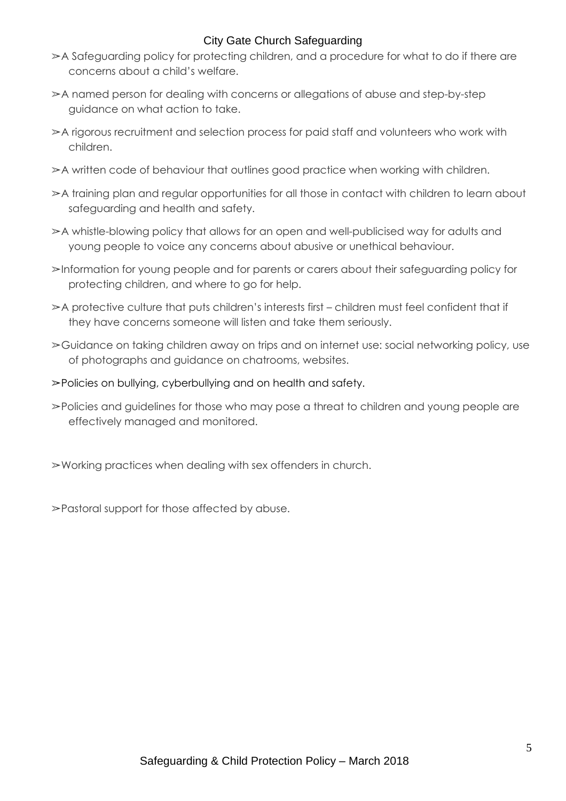- ➢A Safeguarding policy for protecting children, and a procedure for what to do if there are concerns about a child's welfare.
- ➢A named person for dealing with concerns or allegations of abuse and step-by-step guidance on what action to take.
- ➢A rigorous recruitment and selection process for paid staff and volunteers who work with children.
- ➢A written code of behaviour that outlines good practice when working with children.
- ➢A training plan and regular opportunities for all those in contact with children to learn about safeguarding and health and safety.
- ➢A whistle-blowing policy that allows for an open and well-publicised way for adults and young people to voice any concerns about abusive or unethical behaviour.
- ➢Information for young people and for parents or carers about their safeguarding policy for protecting children, and where to go for help.
- ➢A protective culture that puts children's interests first children must feel confident that if they have concerns someone will listen and take them seriously.
- ➢Guidance on taking children away on trips and on internet use: social networking policy, use of photographs and guidance on chatrooms, websites.
- ➢Policies on bullying, cyberbullying and on health and safety.
- ➢Policies and guidelines for those who may pose a threat to children and young people are effectively managed and monitored.

➢Working practices when dealing with sex offenders in church.

➢Pastoral support for those affected by abuse.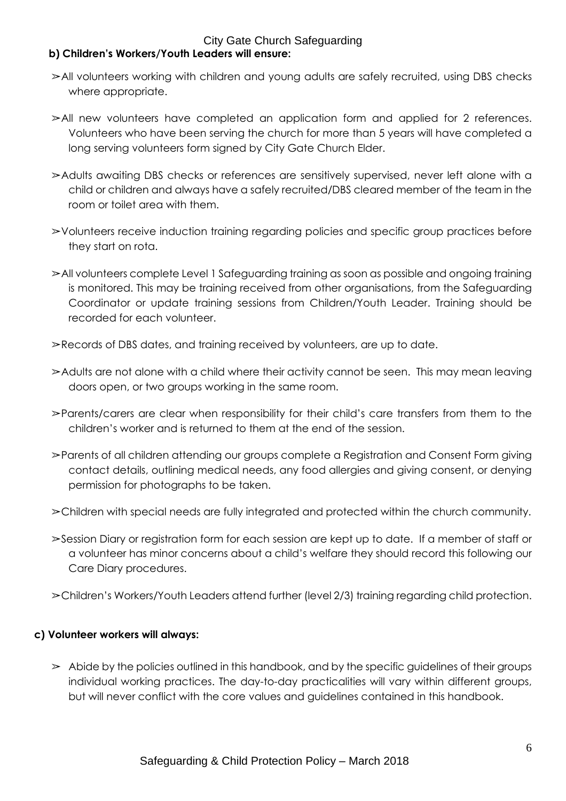#### City Gate Church Safeguarding **b) Children's Workers/Youth Leaders will ensure:**

- ➢All volunteers working with children and young adults are safely recruited, using DBS checks where appropriate.
- ➢All new volunteers have completed an application form and applied for 2 references. Volunteers who have been serving the church for more than 5 years will have completed a long serving volunteers form signed by City Gate Church Elder.
- ➢Adults awaiting DBS checks or references are sensitively supervised, never left alone with a child or children and always have a safely recruited/DBS cleared member of the team in the room or toilet area with them.
- ➢Volunteers receive induction training regarding policies and specific group practices before they start on rota.
- ➢All volunteers complete Level 1 Safeguarding training as soon as possible and ongoing training is monitored. This may be training received from other organisations, from the Safeguarding Coordinator or update training sessions from Children/Youth Leader. Training should be recorded for each volunteer.
- ➢Records of DBS dates, and training received by volunteers, are up to date.
- ➢Adults are not alone with a child where their activity cannot be seen. This may mean leaving doors open, or two groups working in the same room.
- ➢Parents/carers are clear when responsibility for their child's care transfers from them to the children's worker and is returned to them at the end of the session.
- ➢Parents of all children attending our groups complete a Registration and Consent Form giving contact details, outlining medical needs, any food allergies and giving consent, or denying permission for photographs to be taken.
- ➢Children with special needs are fully integrated and protected within the church community.
- ➢Session Diary or registration form for each session are kept up to date. If a member of staff or a volunteer has minor concerns about a child's welfare they should record this following our Care Diary procedures.
- ➢Children's Workers/Youth Leaders attend further (level 2/3) training regarding child protection.

#### **c) Volunteer workers will always:**

 $\geq$  Abide by the policies outlined in this handbook, and by the specific guidelines of their groups individual working practices. The day-to-day practicalities will vary within different groups, but will never conflict with the core values and guidelines contained in this handbook.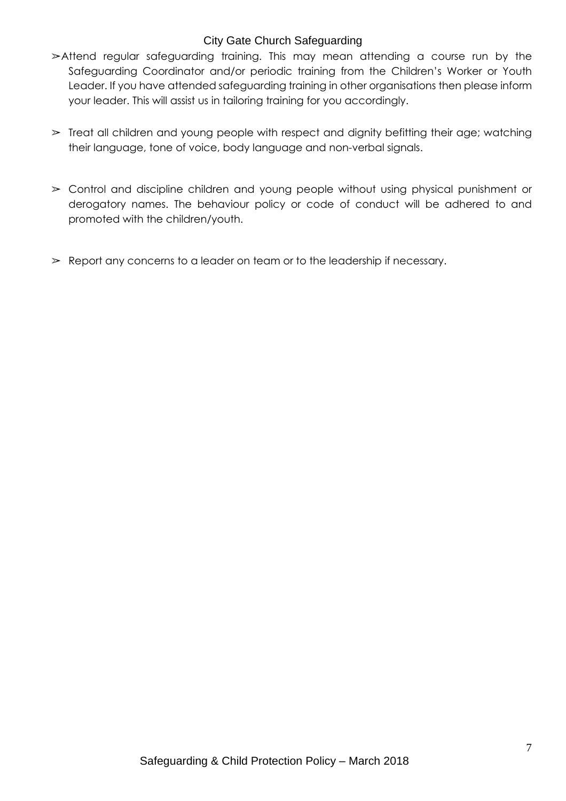- ➢Attend regular safeguarding training. This may mean attending a course run by the Safeguarding Coordinator and/or periodic training from the Children's Worker or Youth Leader. If you have attended safeguarding training in other organisations then please inform your leader. This will assist us in tailoring training for you accordingly.
- $\geq$  Treat all children and young people with respect and dignity befitting their age; watching their language, tone of voice, body language and non-verbal signals.
- ➢ Control and discipline children and young people without using physical punishment or derogatory names. The behaviour policy or code of conduct will be adhered to and promoted with the children/youth.
- $\geq$  Report any concerns to a leader on team or to the leadership if necessary.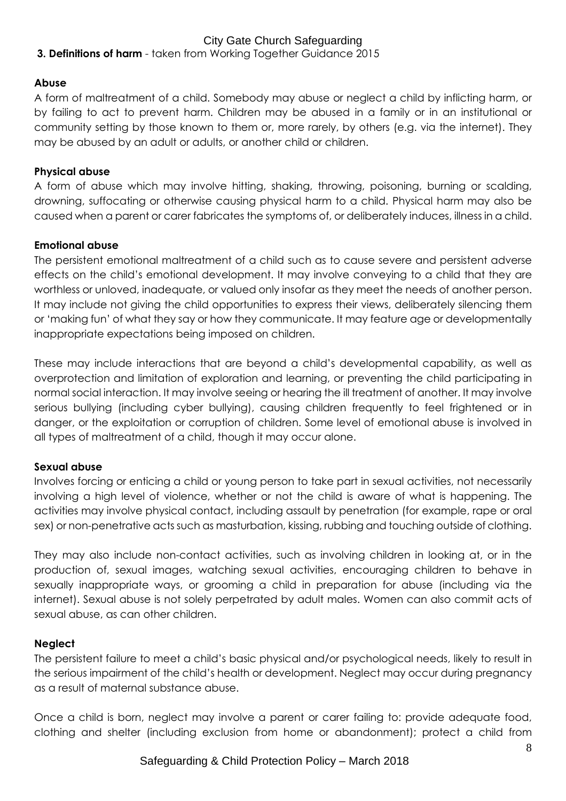# **3. Definitions of harm** - taken from Working Together Guidance 2015

# **Abuse**

A form of maltreatment of a child. Somebody may abuse or neglect a child by inflicting harm, or by failing to act to prevent harm. Children may be abused in a family or in an institutional or community setting by those known to them or, more rarely, by others (e.g. via the internet). They may be abused by an adult or adults, or another child or children.

#### **Physical abuse**

A form of abuse which may involve hitting, shaking, throwing, poisoning, burning or scalding, drowning, suffocating or otherwise causing physical harm to a child. Physical harm may also be caused when a parent or carer fabricates the symptoms of, or deliberately induces, illness in a child.

#### **Emotional abuse**

The persistent emotional maltreatment of a child such as to cause severe and persistent adverse effects on the child's emotional development. It may involve conveying to a child that they are worthless or unloved, inadequate, or valued only insofar as they meet the needs of another person. It may include not giving the child opportunities to express their views, deliberately silencing them or 'making fun' of what they say or how they communicate. It may feature age or developmentally inappropriate expectations being imposed on children.

These may include interactions that are beyond a child's developmental capability, as well as overprotection and limitation of exploration and learning, or preventing the child participating in normal social interaction. It may involve seeing or hearing the ill treatment of another. It may involve serious bullying (including cyber bullying), causing children frequently to feel frightened or in danger, or the exploitation or corruption of children. Some level of emotional abuse is involved in all types of maltreatment of a child, though it may occur alone.

#### **Sexual abuse**

Involves forcing or enticing a child or young person to take part in sexual activities, not necessarily involving a high level of violence, whether or not the child is aware of what is happening. The activities may involve physical contact, including assault by penetration (for example, rape or oral sex) or non-penetrative acts such as masturbation, kissing, rubbing and touching outside of clothing.

They may also include non-contact activities, such as involving children in looking at, or in the production of, sexual images, watching sexual activities, encouraging children to behave in sexually inappropriate ways, or grooming a child in preparation for abuse (including via the internet). Sexual abuse is not solely perpetrated by adult males. Women can also commit acts of sexual abuse, as can other children.

#### **Neglect**

The persistent failure to meet a child's basic physical and/or psychological needs, likely to result in the serious impairment of the child's health or development. Neglect may occur during pregnancy as a result of maternal substance abuse.

Once a child is born, neglect may involve a parent or carer failing to: provide adequate food, clothing and shelter (including exclusion from home or abandonment); protect a child from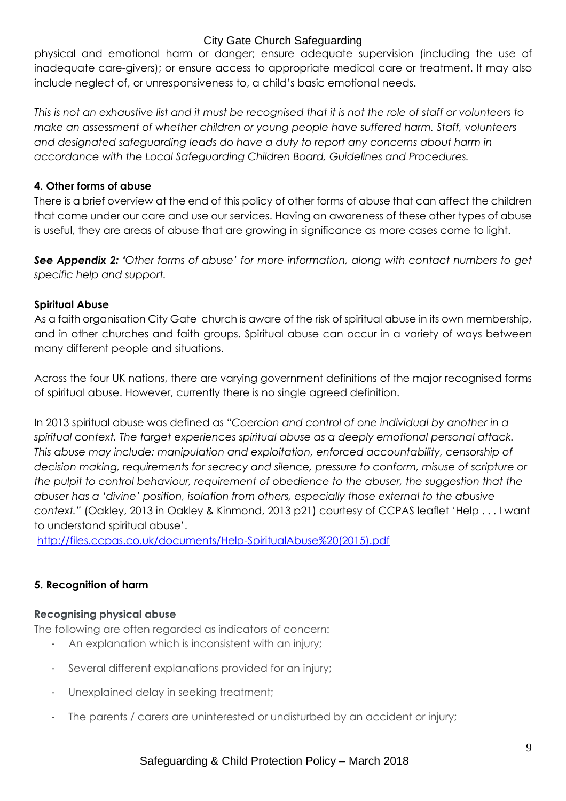physical and emotional harm or danger; ensure adequate supervision (including the use of inadequate care-givers); or ensure access to appropriate medical care or treatment. It may also include neglect of, or unresponsiveness to, a child's basic emotional needs.

This is not an exhaustive list and it must be recognised that it is not the role of staff or volunteers to *make an assessment of whether children or young people have suffered harm. Staff, volunteers and designated safeguarding leads do have a duty to report any concerns about harm in accordance with the Local Safeguarding Children Board, Guidelines and Procedures.*

#### **4. Other forms of abuse**

There is a brief overview at the end of this policy of other forms of abuse that can affect the children that come under our care and use our services. Having an awareness of these other types of abuse is useful, they are areas of abuse that are growing in significance as more cases come to light.

*See Appendix 2: 'Other forms of abuse' for more information, along with contact numbers to get specific help and support.*

# **Spiritual Abuse**

As a faith organisation City Gate church is aware of the risk of spiritual abuse in its own membership, and in other churches and faith groups. Spiritual abuse can occur in a variety of ways between many different people and situations.

Across the four UK nations, there are varying government definitions of the major recognised forms of spiritual abuse. However, currently there is no single agreed definition.

In 2013 spiritual abuse was defined as "*Coercion and control of one individual by another in a spiritual context. The target experiences spiritual abuse as a deeply emotional personal attack. This abuse may include: manipulation and exploitation, enforced accountability, censorship of decision making, requirements for secrecy and silence, pressure to conform, misuse of scripture or the pulpit to control behaviour, requirement of obedience to the abuser, the suggestion that the abuser has a 'divine' position, isolation from others, especially those external to the abusive context."* (Oakley, 2013 in Oakley & Kinmond, 2013 p21) courtesy of CCPAS leaflet 'Help . . . I want to understand spiritual abuse'.

[http://files.ccpas.co.uk/documents/Help-SpiritualAbuse%20\(2015\).pdf](http://files.ccpas.co.uk/documents/Help-SpiritualAbuse%2520(2015).pdf)

# **5. Recognition of harm**

#### **Recognising physical abuse**

The following are often regarded as indicators of concern:

- An explanation which is inconsistent with an injury;
- Several different explanations provided for an injury;
- Unexplained delay in seeking treatment;
- The parents / carers are uninterested or undisturbed by an accident or injury;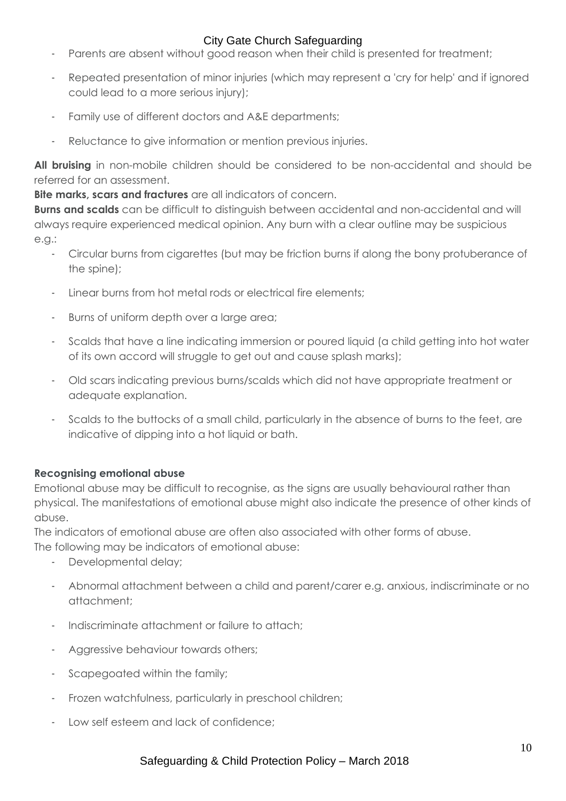- Parents are absent without good reason when their child is presented for treatment;
- Repeated presentation of minor injuries (which may represent a 'cry for help' and if ignored could lead to a more serious injury);
- Family use of different doctors and A&E departments;
- Reluctance to give information or mention previous injuries.

**All bruising** in non-mobile children should be considered to be non-accidental and should be referred for an assessment.

**Bite marks, scars and fractures** are all indicators of concern.

**Burns and scalds** can be difficult to distinguish between accidental and non-accidental and will always require experienced medical opinion. Any burn with a clear outline may be suspicious e.g.:

- Circular burns from cigarettes (but may be friction burns if along the bony protuberance of the spine);
- Linear burns from hot metal rods or electrical fire elements;
- Burns of uniform depth over a large area;
- Scalds that have a line indicating immersion or poured liquid (a child getting into hot water of its own accord will struggle to get out and cause splash marks);
- Old scars indicating previous burns/scalds which did not have appropriate treatment or adequate explanation.
- Scalds to the buttocks of a small child, particularly in the absence of burns to the feet, are indicative of dipping into a hot liquid or bath.

# **Recognising emotional abuse**

Emotional abuse may be difficult to recognise, as the signs are usually behavioural rather than physical. The manifestations of emotional abuse might also indicate the presence of other kinds of abuse.

The indicators of emotional abuse are often also associated with other forms of abuse. The following may be indicators of emotional abuse:

- Developmental delay;
- Abnormal attachment between a child and parent/carer e.g. anxious, indiscriminate or no attachment;
- Indiscriminate attachment or failure to attach;
- Aggressive behaviour towards others;
- Scapegoated within the family;
- Frozen watchfulness, particularly in preschool children;
- Low self esteem and lack of confidence;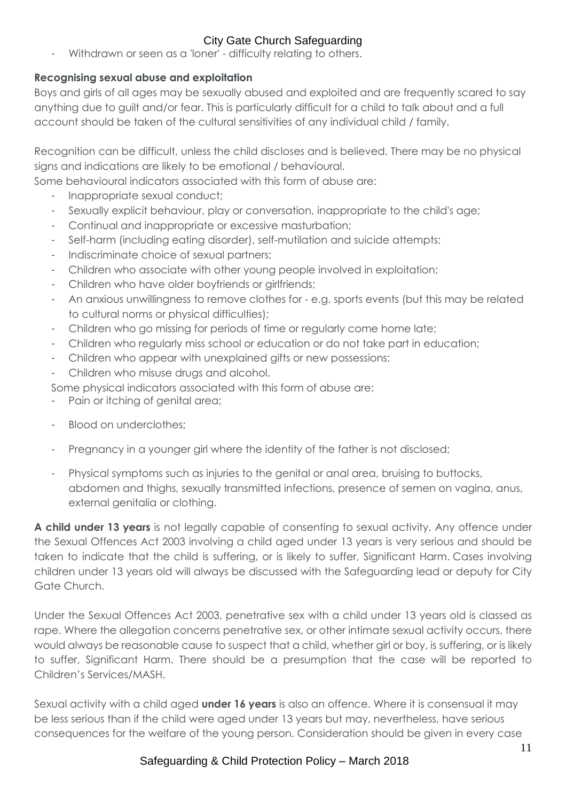Withdrawn or seen as a 'loner' - difficulty relating to others.

# **Recognising sexual abuse and exploitation**

Boys and girls of all ages may be sexually abused and exploited and are frequently scared to say anything due to guilt and/or fear. This is particularly difficult for a child to talk about and a full account should be taken of the cultural sensitivities of any individual child / family.

Recognition can be difficult, unless the child discloses and is believed. There may be no physical signs and indications are likely to be emotional / behavioural.

Some behavioural indicators associated with this form of abuse are:

- Inappropriate sexual conduct;
- Sexually explicit behaviour, play or conversation, inappropriate to the child's age;
- Continual and inappropriate or excessive masturbation;
- Self-harm (including eating disorder), self-mutilation and suicide attempts;
- Indiscriminate choice of sexual partners;
- Children who associate with other young people involved in exploitation;
- Children who have older boyfriends or girlfriends;
- An anxious unwillingness to remove clothes for e.g. sports events (but this may be related to cultural norms or physical difficulties);
- Children who go missing for periods of time or regularly come home late;
- Children who regularly miss school or education or do not take part in education;
- Children who appear with unexplained gifts or new possessions;
- Children who misuse drugs and alcohol.

Some physical indicators associated with this form of abuse are:

- Pain or itching of genital area;
- Blood on underclothes;
- Pregnancy in a younger girl where the identity of the father is not disclosed;
- Physical symptoms such as injuries to the genital or anal area, bruising to buttocks, abdomen and thighs, sexually transmitted infections, presence of semen on vagina, anus, external genitalia or clothing.

**A child under 13 years** is not legally capable of consenting to sexual activity. Any offence under the Sexual Offences Act 2003 involving a child aged under 13 years is very serious and should be taken to indicate that the child is suffering, or is likely to suffer, Significant Harm. Cases involving children under 13 years old will always be discussed with the Safeguarding lead or deputy for City Gate Church.

Under the Sexual Offences Act 2003, penetrative sex with a child under 13 years old is classed as rape. Where the allegation concerns penetrative sex, or other intimate sexual activity occurs, there would always be reasonable cause to suspect that a child, whether girl or boy, is suffering, or is likely to suffer, Significant Harm. There should be a presumption that the case will be reported to Children's Services/MASH.

Sexual activity with a child aged **under 16 years** is also an offence. Where it is consensual it may be less serious than if the child were aged under 13 years but may, nevertheless, have serious consequences for the welfare of the young person. Consideration should be given in every case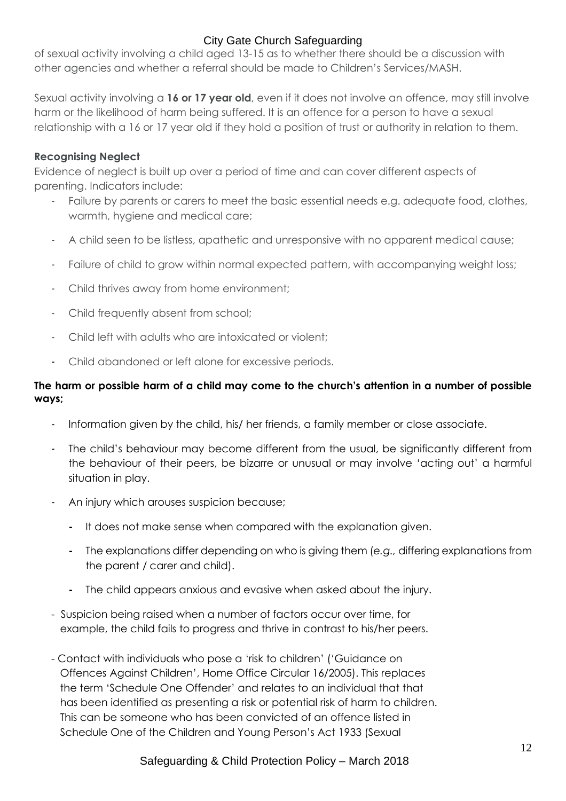of sexual activity involving a child aged 13-15 as to whether there should be a discussion with other agencies and whether a referral should be made to Children's Services/MASH.

Sexual activity involving a **16 or 17 year old**, even if it does not involve an offence, may still involve harm or the likelihood of harm being suffered. It is an offence for a person to have a sexual relationship with a 16 or 17 year old if they hold a position of trust or authority in relation to them.

# **Recognising Neglect**

Evidence of neglect is built up over a period of time and can cover different aspects of parenting. Indicators include:

- Failure by parents or carers to meet the basic essential needs e.g. adequate food, clothes, warmth, hygiene and medical care;
- A child seen to be listless, apathetic and unresponsive with no apparent medical cause;
- Failure of child to grow within normal expected pattern, with accompanying weight loss;
- Child thrives away from home environment;
- Child frequently absent from school;
- Child left with adults who are intoxicated or violent;
- Child abandoned or left alone for excessive periods.

# The harm or possible harm of a child may come to the church's attention in a number of possible **ways;**

- Information given by the child, his/ her friends, a family member or close associate.
- The child's behaviour may become different from the usual, be significantly different from the behaviour of their peers, be bizarre or unusual or may involve 'acting out' a harmful situation in play.
- An injury which arouses suspicion because;
	- **-** It does not make sense when compared with the explanation given.
	- **-** The explanations differ depending on who is giving them (*e.g.,* differing explanations from the parent / carer and child).
	- **-** The child appears anxious and evasive when asked about the injury.
- Suspicion being raised when a number of factors occur over time, for example, the child fails to progress and thrive in contrast to his/her peers.
- Contact with individuals who pose a 'risk to children' ('Guidance on Offences Against Children', Home Office Circular 16/2005). This replaces the term 'Schedule One Offender' and relates to an individual that that has been identified as presenting a risk or potential risk of harm to children. This can be someone who has been convicted of an offence listed in Schedule One of the Children and Young Person's Act 1933 (Sexual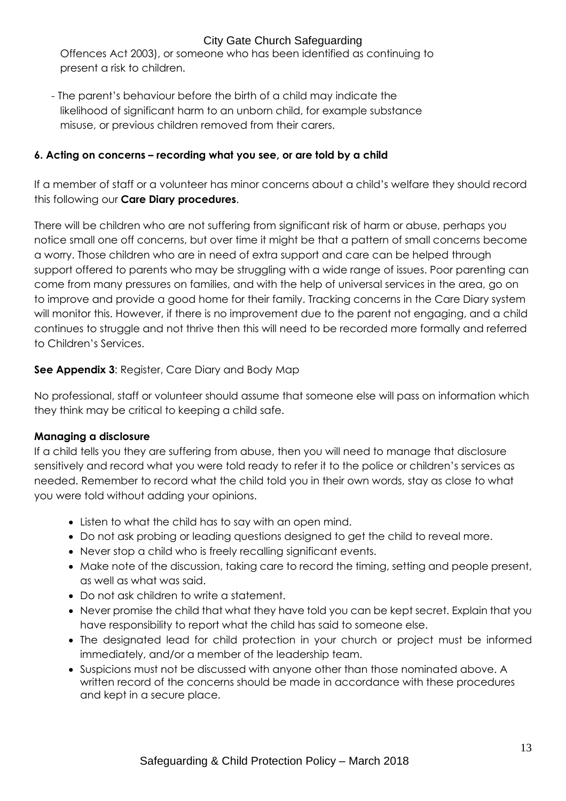Offences Act 2003), or someone who has been identified as continuing to present a risk to children.

- The parent's behaviour before the birth of a child may indicate the likelihood of significant harm to an unborn child, for example substance misuse, or previous children removed from their carers.

# **6. Acting on concerns – recording what you see, or are told by a child**

If a member of staff or a volunteer has minor concerns about a child's welfare they should record this following our **Care Diary procedures**.

There will be children who are not suffering from significant risk of harm or abuse, perhaps you notice small one off concerns, but over time it might be that a pattern of small concerns become a worry. Those children who are in need of extra support and care can be helped through support offered to parents who may be struggling with a wide range of issues. Poor parenting can come from many pressures on families, and with the help of universal services in the area, go on to improve and provide a good home for their family. Tracking concerns in the Care Diary system will monitor this. However, if there is no improvement due to the parent not engaging, and a child continues to struggle and not thrive then this will need to be recorded more formally and referred to Children's Services.

# **See Appendix 3**: Register, Care Diary and Body Map

No professional, staff or volunteer should assume that someone else will pass on information which they think may be critical to keeping a child safe.

#### **Managing a disclosure**

If a child tells you they are suffering from abuse, then you will need to manage that disclosure sensitively and record what you were told ready to refer it to the police or children's services as needed. Remember to record what the child told you in their own words, stay as close to what you were told without adding your opinions.

- Listen to what the child has to say with an open mind.
- Do not ask probing or leading questions designed to get the child to reveal more.
- Never stop a child who is freely recalling significant events.
- Make note of the discussion, taking care to record the timing, setting and people present, as well as what was said.
- Do not ask children to write a statement.
- Never promise the child that what they have told you can be kept secret. Explain that you have responsibility to report what the child has said to someone else.
- The designated lead for child protection in your church or project must be informed immediately, and/or a member of the leadership team.
- Suspicions must not be discussed with anyone other than those nominated above. A written record of the concerns should be made in accordance with these procedures and kept in a secure place.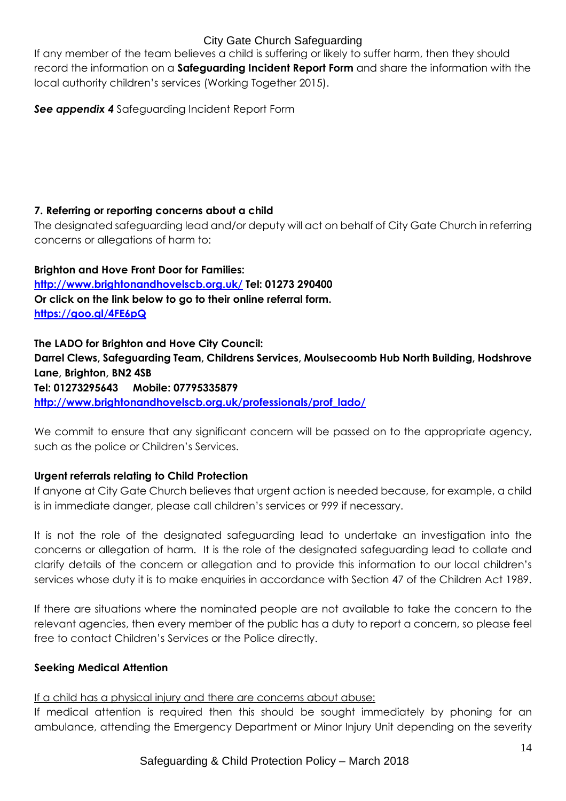If any member of the team believes a child is suffering or likely to suffer harm, then they should record the information on a **Safeguarding Incident Report Form** and share the information with the local authority children's services (Working Together 2015).

*See appendix 4* Safeguarding Incident Report Form

# **7. Referring or reporting concerns about a child**

The designated safeguarding lead and/or deputy will act on behalf of City Gate Church in referring concerns or allegations of harm to:

**Brighton and Hove Front Door for Families: <http://www.brightonandhovelscb.org.uk/> Tel: 01273 290400 Or click on the link below to go to their online referral form. <https://goo.gl/4FE6pQ>**

**The LADO for Brighton and Hove City Council: Darrel Clews, Safeguarding Team, Childrens Services, Moulsecoomb Hub North Building, Hodshrove Lane, Brighton, BN2 4SB Tel: 01273295643 Mobile: 07795335879 [http://www.brightonandhovelscb.org.uk/professionals/prof\\_lado/](http://www.brightonandhovelscb.org.uk/professionals/prof_lado/)**

We commit to ensure that any significant concern will be passed on to the appropriate agency, such as the police or Children's Services.

# **Urgent referrals relating to Child Protection**

If anyone at City Gate Church believes that urgent action is needed because, for example, a child is in immediate danger, please call children's services or 999 if necessary.

It is not the role of the designated safeguarding lead to undertake an investigation into the concerns or allegation of harm. It is the role of the designated safeguarding lead to collate and clarify details of the concern or allegation and to provide this information to our local children's services whose duty it is to make enquiries in accordance with Section 47 of the Children Act 1989.

If there are situations where the nominated people are not available to take the concern to the relevant agencies, then every member of the public has a duty to report a concern, so please feel free to contact Children's Services or the Police directly.

# **Seeking Medical Attention**

If a child has a physical injury and there are concerns about abuse:

If medical attention is required then this should be sought immediately by phoning for an ambulance, attending the Emergency Department or Minor Injury Unit depending on the severity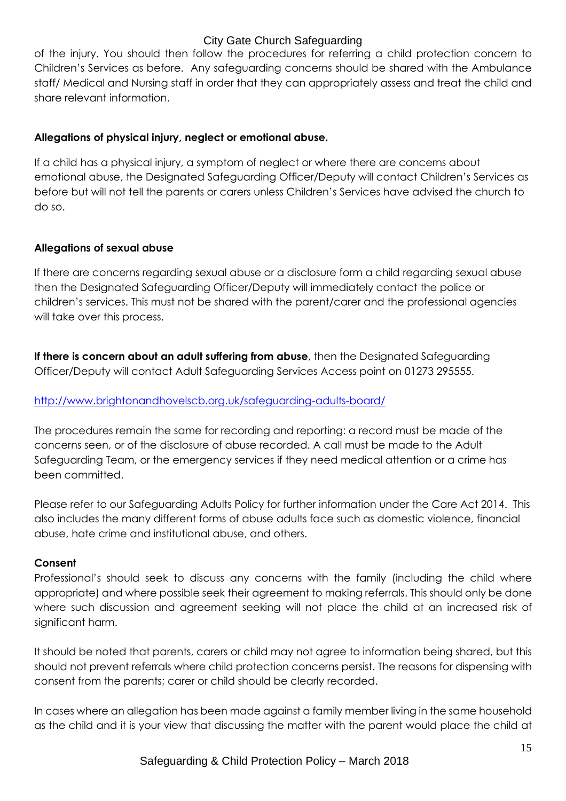of the injury. You should then follow the procedures for referring a child protection concern to Children's Services as before. Any safeguarding concerns should be shared with the Ambulance staff/ Medical and Nursing staff in order that they can appropriately assess and treat the child and share relevant information.

# **Allegations of physical injury, neglect or emotional abuse.**

If a child has a physical injury, a symptom of neglect or where there are concerns about emotional abuse, the Designated Safeguarding Officer/Deputy will contact Children's Services as before but will not tell the parents or carers unless Children's Services have advised the church to do so.

# **Allegations of sexual abuse**

If there are concerns regarding sexual abuse or a disclosure form a child regarding sexual abuse then the Designated Safeguarding Officer/Deputy will immediately contact the police or children's services. This must not be shared with the parent/carer and the professional agencies will take over this process.

**If there is concern about an adult suffering from abuse**, then the Designated Safeguarding Officer/Deputy will contact Adult Safeguarding Services Access point on 01273 295555.

# <http://www.brightonandhovelscb.org.uk/safeguarding-adults-board/>

The procedures remain the same for recording and reporting: a record must be made of the concerns seen, or of the disclosure of abuse recorded. A call must be made to the Adult Safeguarding Team, or the emergency services if they need medical attention or a crime has been committed.

Please refer to our Safeguarding Adults Policy for further information under the Care Act 2014. This also includes the many different forms of abuse adults face such as domestic violence, financial abuse, hate crime and institutional abuse, and others.

#### **Consent**

Professional's should seek to discuss any concerns with the family (including the child where appropriate) and where possible seek their agreement to making referrals. This should only be done where such discussion and agreement seeking will not place the child at an increased risk of significant harm.

It should be noted that parents, carers or child may not agree to information being shared, but this should not prevent referrals where child protection concerns persist. The reasons for dispensing with consent from the parents; carer or child should be clearly recorded.

In cases where an allegation has been made against a family member living in the same household as the child and it is your view that discussing the matter with the parent would place the child at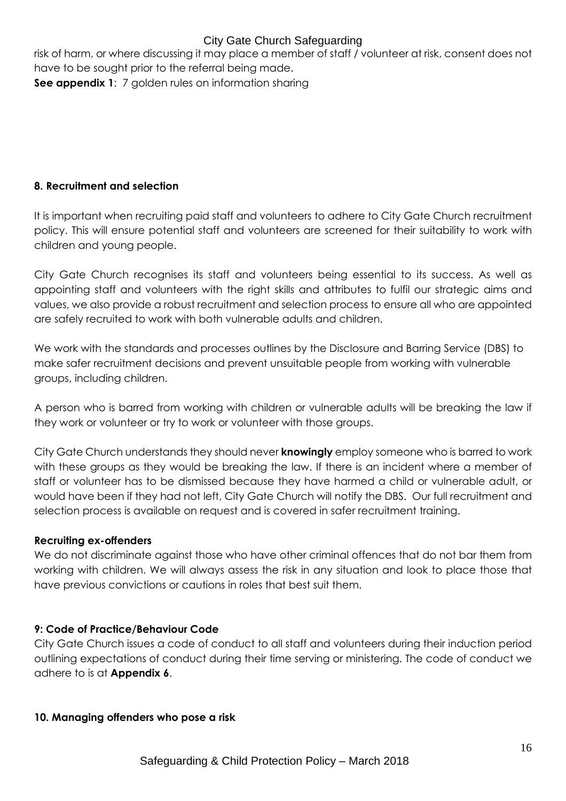risk of harm, or where discussing it may place a member of staff / volunteer at risk, consent does not have to be sought prior to the referral being made.

**See appendix 1**: 7 golden rules on information sharing

# **8. Recruitment and selection**

It is important when recruiting paid staff and volunteers to adhere to City Gate Church recruitment policy. This will ensure potential staff and volunteers are screened for their suitability to work with children and young people.

City Gate Church recognises its staff and volunteers being essential to its success. As well as appointing staff and volunteers with the right skills and attributes to fulfil our strategic aims and values, we also provide a robust recruitment and selection process to ensure all who are appointed are safely recruited to work with both vulnerable adults and children.

We work with the standards and processes outlines by the Disclosure and Barring Service (DBS) to make safer recruitment decisions and prevent unsuitable people from working with vulnerable groups, including children.

A person who is barred from working with children or vulnerable adults will be breaking the law if they work or volunteer or try to work or volunteer with those groups.

City Gate Church understands they should never **knowingly** employ someone who is barred to work with these groups as they would be breaking the law. If there is an incident where a member of staff or volunteer has to be dismissed because they have harmed a child or vulnerable adult, or would have been if they had not left, City Gate Church will notify the DBS. Our full recruitment and selection process is available on request and is covered in safer recruitment training.

# **Recruiting ex-offenders**

We do not discriminate against those who have other criminal offences that do not bar them from working with children. We will always assess the risk in any situation and look to place those that have previous convictions or cautions in roles that best suit them.

# **9: Code of Practice/Behaviour Code**

City Gate Church issues a code of conduct to all staff and volunteers during their induction period outlining expectations of conduct during their time serving or ministering. The code of conduct we adhere to is at **Appendix 6**.

#### **10. Managing offenders who pose a risk**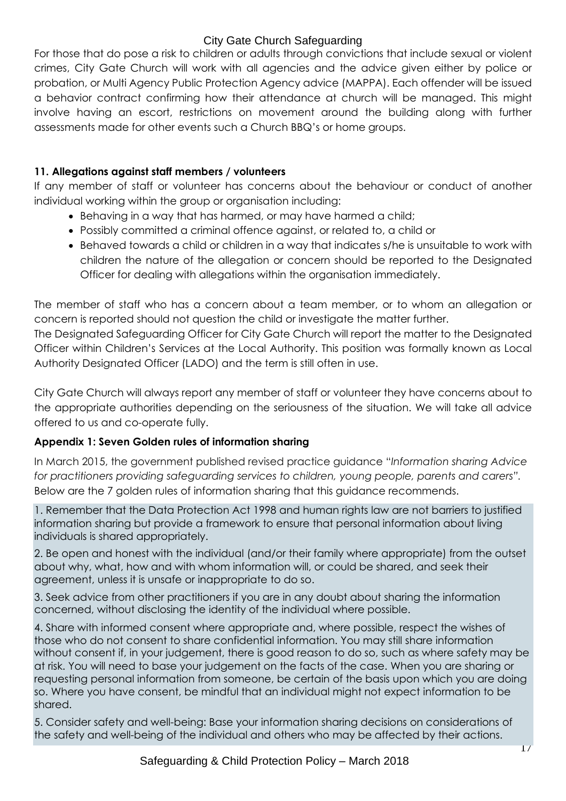For those that do pose a risk to children or adults through convictions that include sexual or violent crimes, City Gate Church will work with all agencies and the advice given either by police or probation, or Multi Agency Public Protection Agency advice (MAPPA). Each offender will be issued a behavior contract confirming how their attendance at church will be managed. This might involve having an escort, restrictions on movement around the building along with further assessments made for other events such a Church BBQ's or home groups.

# **11. Allegations against staff members / volunteers**

If any member of staff or volunteer has concerns about the behaviour or conduct of another individual working within the group or organisation including:

- Behaving in a way that has harmed, or may have harmed a child;
- Possibly committed a criminal offence against, or related to, a child or
- Behaved towards a child or children in a way that indicates s/he is unsuitable to work with children the nature of the allegation or concern should be reported to the Designated Officer for dealing with allegations within the organisation immediately.

The member of staff who has a concern about a team member, or to whom an allegation or concern is reported should not question the child or investigate the matter further.

The Designated Safeguarding Officer for City Gate Church will report the matter to the Designated Officer within Children's Services at the Local Authority. This position was formally known as Local Authority Designated Officer (LADO) and the term is still often in use.

City Gate Church will always report any member of staff or volunteer they have concerns about to the appropriate authorities depending on the seriousness of the situation. We will take all advice offered to us and co-operate fully.

# **Appendix 1: Seven Golden rules of information sharing**

In March 2015, the government published revised practice guidance "*Information sharing Advice for practitioners providing safeguarding services to children, young people, parents and carers".* Below are the 7 golden rules of information sharing that this guidance recommends.

1. Remember that the Data Protection Act 1998 and human rights law are not barriers to justified information sharing but provide a framework to ensure that personal information about living individuals is shared appropriately.

2. Be open and honest with the individual (and/or their family where appropriate) from the outset about why, what, how and with whom information will, or could be shared, and seek their agreement, unless it is unsafe or inappropriate to do so.

3. Seek advice from other practitioners if you are in any doubt about sharing the information concerned, without disclosing the identity of the individual where possible.

4. Share with informed consent where appropriate and, where possible, respect the wishes of those who do not consent to share confidential information. You may still share information without consent if, in your judgement, there is good reason to do so, such as where safety may be at risk. You will need to base your judgement on the facts of the case. When you are sharing or requesting personal information from someone, be certain of the basis upon which you are doing so. Where you have consent, be mindful that an individual might not expect information to be shared.

5. Consider safety and well-being: Base your information sharing decisions on considerations of the safety and well-being of the individual and others who may be affected by their actions.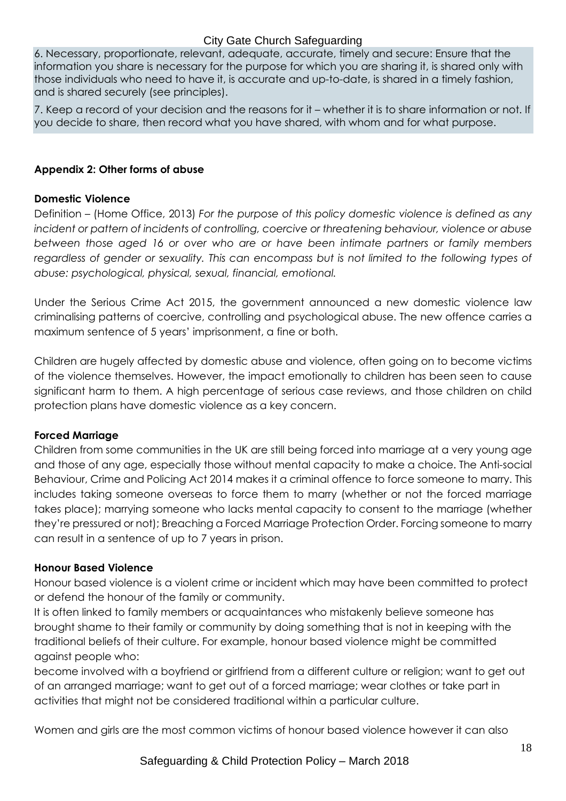6. Necessary, proportionate, relevant, adequate, accurate, timely and secure: Ensure that the information you share is necessary for the purpose for which you are sharing it, is shared only with those individuals who need to have it, is accurate and up-to-date, is shared in a timely fashion, and is shared securely (see principles).

7. Keep a record of your decision and the reasons for it – whether it is to share information or not. If you decide to share, then record what you have shared, with whom and for what purpose.

#### **Appendix 2: Other forms of abuse**

#### **Domestic Violence**

Definition – (Home Office, 2013) *For the purpose of this policy domestic violence is defined as any incident or pattern of incidents of controlling, coercive or threatening behaviour, violence or abuse between those aged 16 or over who are or have been intimate partners or family members regardless of gender or sexuality. This can encompass but is not limited to the following types of abuse: psychological, physical, sexual, financial, emotional.*

Under the Serious Crime Act 2015, the government announced a new domestic violence law criminalising patterns of coercive, controlling and psychological abuse. The new offence carries a maximum sentence of 5 years' imprisonment, a fine or both.

Children are hugely affected by domestic abuse and violence, often going on to become victims of the violence themselves. However, the impact emotionally to children has been seen to cause significant harm to them. A high percentage of serious case reviews, and those children on child protection plans have domestic violence as a key concern.

# **Forced Marriage**

Children from some communities in the UK are still being forced into marriage at a very young age and those of any age, especially those without mental capacity to make a choice. The Anti-social Behaviour, Crime and Policing Act 2014 makes it a criminal offence to force someone to marry. This includes taking someone overseas to force them to marry (whether or not the forced marriage takes place); marrying someone who lacks mental capacity to consent to the marriage (whether they're pressured or not); Breaching a Forced Marriage Protection Order. Forcing someone to marry can result in a sentence of up to 7 years in prison.

#### **Honour Based Violence**

Honour based violence is a violent crime or incident which may have been committed to protect or defend the honour of the family or community.

It is often linked to family members or acquaintances who mistakenly believe someone has brought shame to their family or community by doing something that is not in keeping with the traditional beliefs of their culture. For example, honour based violence might be committed against people who:

become involved with a boyfriend or girlfriend from a different culture or religion; want to get out of an arranged marriage; want to get out of a forced marriage; wear clothes or take part in activities that might not be considered traditional within a particular culture.

Women and girls are the most common victims of honour based violence however it can also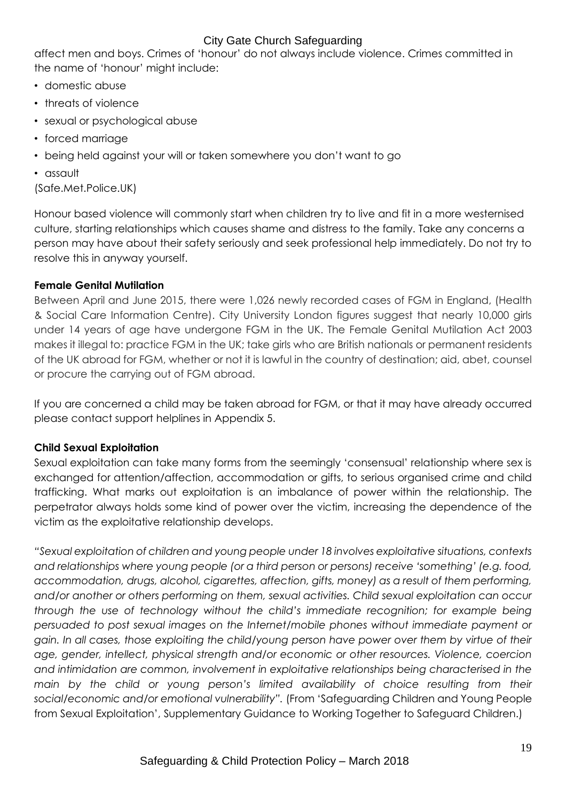affect men and boys. Crimes of 'honour' do not always include violence. Crimes committed in the name of 'honour' might include:

- domestic abuse
- threats of violence
- sexual or psychological abuse
- forced marriage
- being held against your will or taken somewhere you don't want to go
- assault

(Safe.Met.Police.UK)

Honour based violence will commonly start when children try to live and fit in a more westernised culture, starting relationships which causes shame and distress to the family. Take any concerns a person may have about their safety seriously and seek professional help immediately. Do not try to resolve this in anyway yourself.

# **Female Genital Mutilation**

Between April and June 2015, there were 1,026 newly recorded cases of FGM in England, (Health & Social Care Information Centre). City University London figures suggest that nearly 10,000 girls under 14 years of age have undergone FGM in the UK. The Female Genital Mutilation Act 2003 makes it illegal to: practice FGM in the UK; take girls who are British nationals or permanent residents of the UK abroad for FGM, whether or not it is lawful in the country of destination; aid, abet, counsel or procure the carrying out of FGM abroad.

If you are concerned a child may be taken abroad for FGM, or that it may have already occurred please contact support helplines in Appendix 5.

# **Child Sexual Exploitation**

Sexual exploitation can take many forms from the seemingly 'consensual' relationship where sex is exchanged for attention/affection, accommodation or gifts, to serious organised crime and child trafficking. What marks out exploitation is an imbalance of power within the relationship. The perpetrator always holds some kind of power over the victim, increasing the dependence of the victim as the exploitative relationship develops.

*"Sexual exploitation of children and young people under 18 involves exploitative situations, contexts and relationships where young people (or a third person or persons) receive 'something' (e.g. food, accommodation, drugs, alcohol, cigarettes, affection, gifts, money) as a result of them performing, and/or another or others performing on them, sexual activities. Child sexual exploitation can occur through the use of technology without the child's immediate recognition; for example being persuaded to post sexual images on the Internet/mobile phones without immediate payment or gain. In all cases, those exploiting the child/young person have power over them by virtue of their age, gender, intellect, physical strength and/or economic or other resources. Violence, coercion and intimidation are common, involvement in exploitative relationships being characterised in the main by the child or young person's limited availability of choice resulting from their social/economic and/or emotional vulnerability".* (From 'Safeguarding Children and Young People from Sexual Exploitation', Supplementary Guidance to Working Together to Safeguard Children.)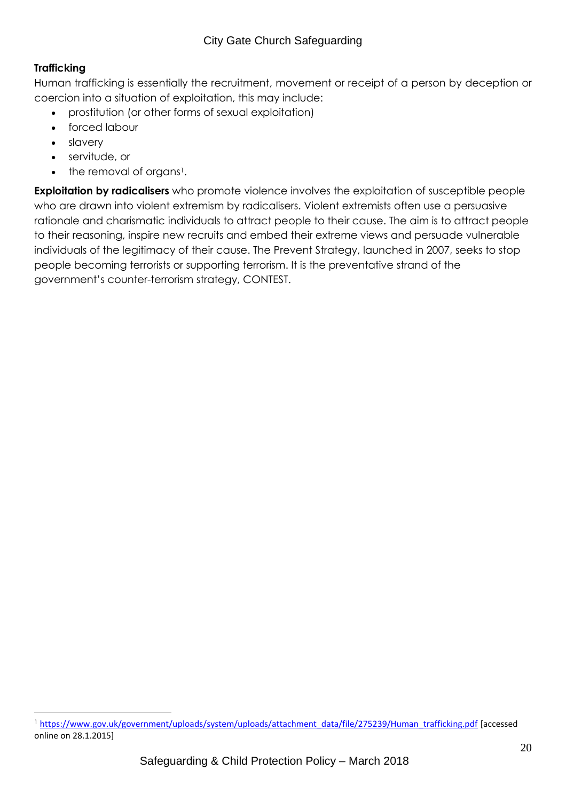# **Trafficking**

Human trafficking is essentially the recruitment, movement or receipt of a person by deception or coercion into a situation of exploitation, this may include:

- prostitution (or other forms of sexual exploitation)
- forced labour
- slavery
- servitude, or
- $\bullet$  the removal of organs<sup>1</sup>.

**Exploitation by radicalisers** who promote violence involves the exploitation of susceptible people who are drawn into violent extremism by radicalisers. Violent extremists often use a persuasive rationale and charismatic individuals to attract people to their cause. The aim is to attract people to their reasoning, inspire new recruits and embed their extreme views and persuade vulnerable individuals of the legitimacy of their cause. The Prevent Strategy, launched in 2007, seeks to stop people becoming terrorists or supporting terrorism. It is the preventative strand of the government's counter-terrorism strategy, CONTEST.

<sup>&</sup>lt;sup>1</sup> [https://www.gov.uk/government/uploads/system/uploads/attachment\\_data/file/275239/Human\\_trafficking.pdf](https://www.gov.uk/government/uploads/system/uploads/attachment_data/file/275239/Human_trafficking.pdf) [accessed online on 28.1.2015]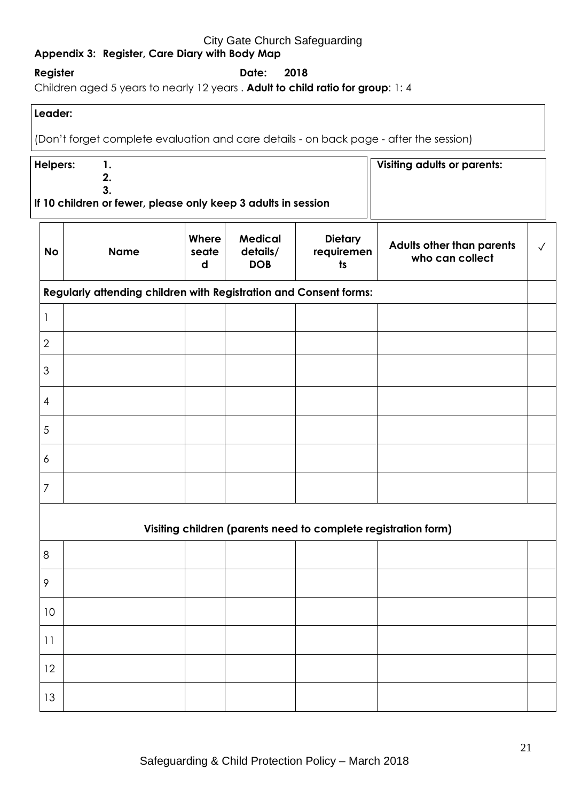# **Appendix 3: Register, Care Diary with Body Map**

13

# **Register Date: 2018**

Children aged 5 years to nearly 12 years . **Adult to child ratio for group**: 1: 4

| Leader:                                                                                                                                  |                                                                   |                               |                                          |                                               |                                                                                        |              |
|------------------------------------------------------------------------------------------------------------------------------------------|-------------------------------------------------------------------|-------------------------------|------------------------------------------|-----------------------------------------------|----------------------------------------------------------------------------------------|--------------|
|                                                                                                                                          |                                                                   |                               |                                          |                                               | (Don't forget complete evaluation and care details - on back page - after the session) |              |
| <b>Visiting adults or parents:</b><br><b>Helpers:</b><br>1.<br>2.<br>3.<br>If 10 children or fewer, please only keep 3 adults in session |                                                                   |                               |                                          |                                               |                                                                                        |              |
| <b>No</b>                                                                                                                                | <b>Name</b>                                                       | Where<br>seate<br>$\mathbf d$ | <b>Medical</b><br>details/<br><b>DOB</b> | <b>Dietary</b><br>requiremen<br>$\mathsf{ts}$ | <b>Adults other than parents</b><br>who can collect                                    | $\checkmark$ |
|                                                                                                                                          | Regularly attending children with Registration and Consent forms: |                               |                                          |                                               |                                                                                        |              |
| 1                                                                                                                                        |                                                                   |                               |                                          |                                               |                                                                                        |              |
| $\overline{2}$                                                                                                                           |                                                                   |                               |                                          |                                               |                                                                                        |              |
| $\mathfrak{Z}$                                                                                                                           |                                                                   |                               |                                          |                                               |                                                                                        |              |
| $\overline{4}$                                                                                                                           |                                                                   |                               |                                          |                                               |                                                                                        |              |
| 5                                                                                                                                        |                                                                   |                               |                                          |                                               |                                                                                        |              |
| 6                                                                                                                                        |                                                                   |                               |                                          |                                               |                                                                                        |              |
| $\overline{7}$                                                                                                                           |                                                                   |                               |                                          |                                               |                                                                                        |              |
|                                                                                                                                          |                                                                   |                               |                                          |                                               | Visiting children (parents need to complete registration form)                         |              |
| $\,8\,$                                                                                                                                  |                                                                   |                               |                                          |                                               |                                                                                        |              |
| 9                                                                                                                                        |                                                                   |                               |                                          |                                               |                                                                                        |              |
| 10                                                                                                                                       |                                                                   |                               |                                          |                                               |                                                                                        |              |
| 11                                                                                                                                       |                                                                   |                               |                                          |                                               |                                                                                        |              |
| 12                                                                                                                                       |                                                                   |                               |                                          |                                               |                                                                                        |              |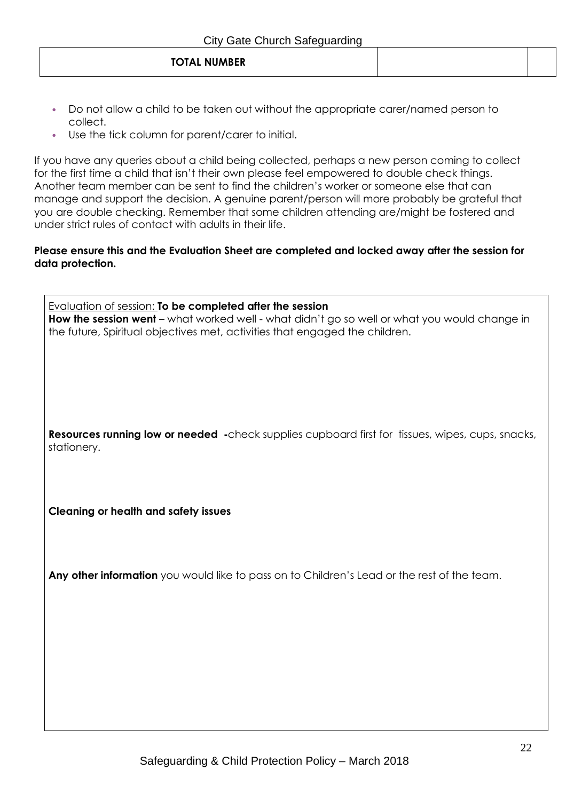#### **TOTAL NUMBER**

- Do not allow a child to be taken out without the appropriate carer/named person to collect.
- Use the tick column for parent/carer to initial.

If you have any queries about a child being collected, perhaps a new person coming to collect for the first time a child that isn't their own please feel empowered to double check things. Another team member can be sent to find the children's worker or someone else that can manage and support the decision. A genuine parent/person will more probably be grateful that you are double checking. Remember that some children attending are/might be fostered and under strict rules of contact with adults in their life.

#### **Please ensure this and the Evaluation Sheet are completed and locked away after the session for data protection.**

Evaluation of session: **To be completed after the session How the session went** – what worked well - what didn't go so well or what you would change in the future, Spiritual objectives met, activities that engaged the children. **Resources running low or needed -**check supplies cupboard first for tissues, wipes, cups, snacks, stationery. **Cleaning or health and safety issues Any other information** you would like to pass on to Children's Lead or the rest of the team.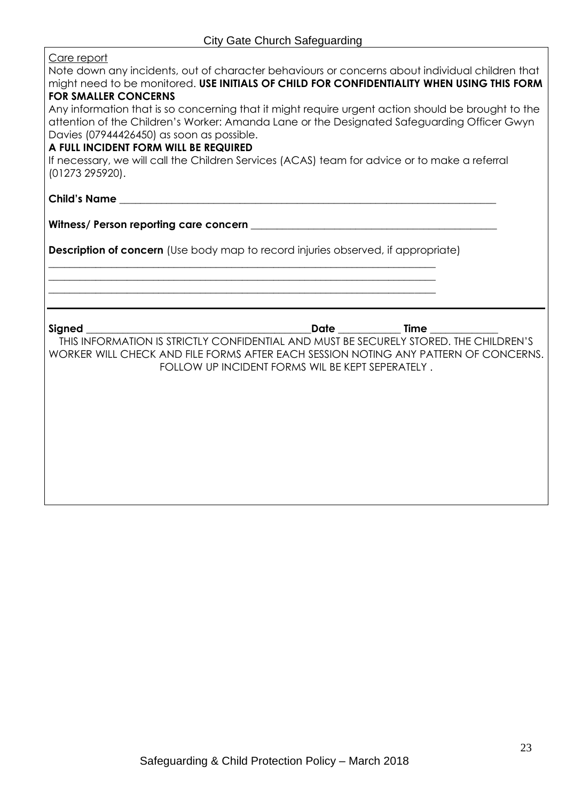#### Care report

Note down any incidents, out of character behaviours or concerns about individual children that might need to be monitored. **USE INITIALS OF CHILD FOR CONFIDENTIALITY WHEN USING THIS FORM FOR SMALLER CONCERNS** Any information that is so concerning that it might require urgent action should be brought to the attention of the Children's Worker: Amanda Lane or the Designated Safeguarding Officer Gwyn Davies (07944426450) as soon as possible. **A FULL INCIDENT FORM WILL BE REQUIRED** If necessary, we will call the Children Services (ACAS) team for advice or to make a referral (01273 295920). **Child's Name** \_\_\_\_\_\_\_\_\_\_\_\_\_\_\_\_\_\_\_\_\_\_\_\_\_\_\_\_\_\_\_\_\_\_\_\_\_\_\_\_\_\_\_\_\_\_\_\_\_\_\_\_\_\_\_\_\_\_\_\_\_\_\_\_\_\_\_\_\_\_\_\_ **Witness/ Person reporting care concern** \_\_\_\_\_\_\_\_\_\_\_\_\_\_\_\_\_\_\_\_\_\_\_\_\_\_\_\_\_\_\_\_\_\_\_\_\_\_\_\_\_\_\_\_\_\_\_ **Description of concern** (Use body map to record injuries observed, if appropriate) \_\_\_\_\_\_\_\_\_\_\_\_\_\_\_\_\_\_\_\_\_\_\_\_\_\_\_\_\_\_\_\_\_\_\_\_\_\_\_\_\_\_\_\_\_\_\_\_\_\_\_\_\_\_\_\_\_\_\_\_\_\_\_\_\_\_\_\_\_\_\_\_\_\_ \_\_\_\_\_\_\_\_\_\_\_\_\_\_\_\_\_\_\_\_\_\_\_\_\_\_\_\_\_\_\_\_\_\_\_\_\_\_\_\_\_\_\_\_\_\_\_\_\_\_\_\_\_\_\_\_\_\_\_\_\_\_\_\_\_\_\_\_\_\_\_\_\_\_ \_\_\_\_\_\_\_\_\_\_\_\_\_\_\_\_\_\_\_\_\_\_\_\_\_\_\_\_\_\_\_\_\_\_\_\_\_\_\_\_\_\_\_\_\_\_\_\_\_\_\_\_\_\_\_\_\_\_\_\_\_\_\_\_\_\_\_\_\_\_\_\_\_\_ **Signed** \_\_\_\_\_\_\_\_\_\_\_\_\_\_\_\_\_\_\_\_\_\_\_\_\_\_\_\_\_\_\_\_\_\_\_\_\_\_\_\_\_\_\_**Date** \_\_\_\_\_\_\_\_\_\_\_\_ **Time** \_\_\_\_\_\_\_\_\_\_\_\_\_ THIS INFORMATION IS STRICTLY CONFIDENTIAL AND MUST BE SECURELY STORED. THE CHILDREN'S WORKER WILL CHECK AND FILE FORMS AFTER EACH SESSION NOTING ANY PATTERN OF CONCERNS. FOLLOW UP INCIDENT FORMS WIL BE KEPT SEPERATELY .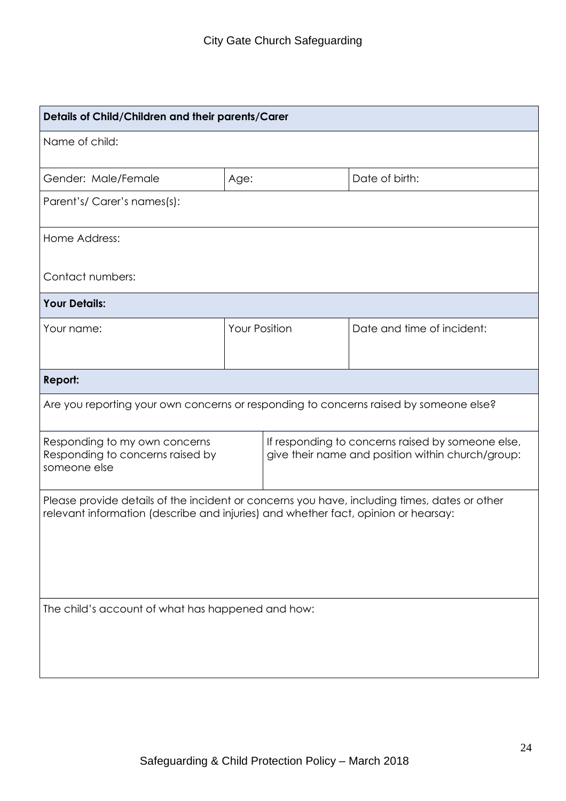| Details of Child/Children and their parents/Carer                                                                                                                                  |                        |                                                                                                        |                            |  |  |
|------------------------------------------------------------------------------------------------------------------------------------------------------------------------------------|------------------------|--------------------------------------------------------------------------------------------------------|----------------------------|--|--|
| Name of child:                                                                                                                                                                     |                        |                                                                                                        |                            |  |  |
| Gender: Male/Female                                                                                                                                                                | Date of birth:<br>Age: |                                                                                                        |                            |  |  |
| Parent's/ Carer's names(s):                                                                                                                                                        |                        |                                                                                                        |                            |  |  |
| Home Address:                                                                                                                                                                      |                        |                                                                                                        |                            |  |  |
| Contact numbers:                                                                                                                                                                   |                        |                                                                                                        |                            |  |  |
| <b>Your Details:</b>                                                                                                                                                               |                        |                                                                                                        |                            |  |  |
| Your name:                                                                                                                                                                         | <b>Your Position</b>   |                                                                                                        | Date and time of incident: |  |  |
| Report:                                                                                                                                                                            |                        |                                                                                                        |                            |  |  |
| Are you reporting your own concerns or responding to concerns raised by someone else?                                                                                              |                        |                                                                                                        |                            |  |  |
| Responding to my own concerns<br>Responding to concerns raised by<br>someone else                                                                                                  |                        | If responding to concerns raised by someone else,<br>give their name and position within church/group: |                            |  |  |
| Please provide details of the incident or concerns you have, including times, dates or other<br>relevant information (describe and injuries) and whether fact, opinion or hearsay: |                        |                                                                                                        |                            |  |  |
| The child's account of what has happened and how:                                                                                                                                  |                        |                                                                                                        |                            |  |  |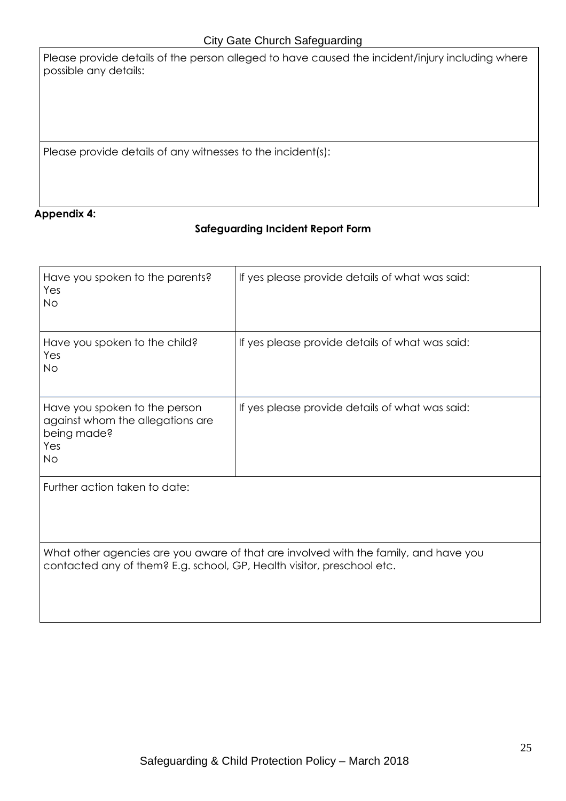Please provide details of the person alleged to have caused the incident/injury including where possible any details:

Please provide details of any witnesses to the incident(s):

#### **Appendix 4:**

# **Safeguarding Incident Report Form**

| Have you spoken to the parents?<br>Yes<br><b>No</b>                                                                                                            | If yes please provide details of what was said: |  |  |  |  |
|----------------------------------------------------------------------------------------------------------------------------------------------------------------|-------------------------------------------------|--|--|--|--|
| Have you spoken to the child?<br>Yes<br><b>No</b>                                                                                                              | If yes please provide details of what was said: |  |  |  |  |
| Have you spoken to the person<br>against whom the allegations are<br>being made?<br>Yes<br><b>No</b>                                                           | If yes please provide details of what was said: |  |  |  |  |
| Further action taken to date:                                                                                                                                  |                                                 |  |  |  |  |
| What other agencies are you aware of that are involved with the family, and have you<br>contacted any of them? E.g. school, GP, Health visitor, preschool etc. |                                                 |  |  |  |  |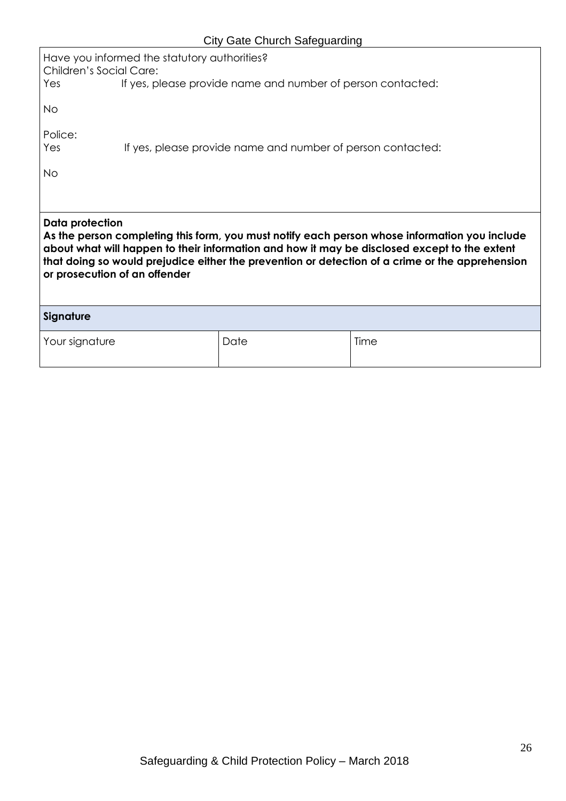|                                                                                                                                                                                                                                                                                                                                                      |                                                             | ony calo onaron caloguaranig                                |      |  |  |  |  |
|------------------------------------------------------------------------------------------------------------------------------------------------------------------------------------------------------------------------------------------------------------------------------------------------------------------------------------------------------|-------------------------------------------------------------|-------------------------------------------------------------|------|--|--|--|--|
| Have you informed the statutory authorities?<br><b>Children's Social Care:</b>                                                                                                                                                                                                                                                                       |                                                             |                                                             |      |  |  |  |  |
| Yes                                                                                                                                                                                                                                                                                                                                                  | If yes, please provide name and number of person contacted: |                                                             |      |  |  |  |  |
| No.                                                                                                                                                                                                                                                                                                                                                  |                                                             |                                                             |      |  |  |  |  |
| Police:<br>Yes                                                                                                                                                                                                                                                                                                                                       |                                                             | If yes, please provide name and number of person contacted: |      |  |  |  |  |
| <b>No</b>                                                                                                                                                                                                                                                                                                                                            |                                                             |                                                             |      |  |  |  |  |
| Data protection<br>As the person completing this form, you must notify each person whose information you include<br>about what will happen to their information and how it may be disclosed except to the extent<br>that doing so would prejudice either the prevention or detection of a crime or the apprehension<br>or prosecution of an offender |                                                             |                                                             |      |  |  |  |  |
| Signature                                                                                                                                                                                                                                                                                                                                            |                                                             |                                                             |      |  |  |  |  |
| Your signature                                                                                                                                                                                                                                                                                                                                       |                                                             | Date                                                        | Time |  |  |  |  |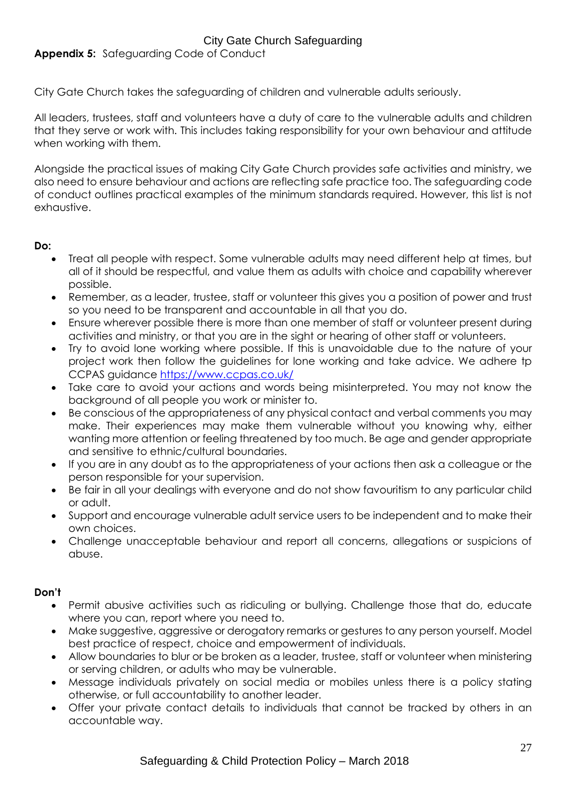**Appendix 5:** Safeguarding Code of Conduct

City Gate Church takes the safeguarding of children and vulnerable adults seriously.

All leaders, trustees, staff and volunteers have a duty of care to the vulnerable adults and children that they serve or work with. This includes taking responsibility for your own behaviour and attitude when working with them.

Alongside the practical issues of making City Gate Church provides safe activities and ministry, we also need to ensure behaviour and actions are reflecting safe practice too. The safeguarding code of conduct outlines practical examples of the minimum standards required. However, this list is not exhaustive.

#### **Do:**

- Treat all people with respect. Some vulnerable adults may need different help at times, but all of it should be respectful, and value them as adults with choice and capability wherever possible.
- Remember, as a leader, trustee, staff or volunteer this gives you a position of power and trust so you need to be transparent and accountable in all that you do.
- Ensure wherever possible there is more than one member of staff or volunteer present during activities and ministry, or that you are in the sight or hearing of other staff or volunteers.
- Try to avoid lone working where possible. If this is unavoidable due to the nature of your project work then follow the guidelines for lone working and take advice. We adhere tp CCPAS guidance <https://www.ccpas.co.uk/>
- Take care to avoid your actions and words being misinterpreted. You may not know the background of all people you work or minister to.
- Be conscious of the appropriateness of any physical contact and verbal comments you may make. Their experiences may make them vulnerable without you knowing why, either wanting more attention or feeling threatened by too much. Be age and gender appropriate and sensitive to ethnic/cultural boundaries.
- If you are in any doubt as to the appropriateness of your actions then ask a colleague or the person responsible for your supervision.
- Be fair in all your dealings with everyone and do not show favouritism to any particular child or adult.
- Support and encourage vulnerable adult service users to be independent and to make their own choices.
- Challenge unacceptable behaviour and report all concerns, allegations or suspicions of abuse.

#### **Don't**

- Permit abusive activities such as ridiculing or bullying. Challenge those that do, educate where you can, report where you need to.
- Make suggestive, aggressive or derogatory remarks or gestures to any person yourself. Model best practice of respect, choice and empowerment of individuals.
- Allow boundaries to blur or be broken as a leader, trustee, staff or volunteer when ministering or serving children, or adults who may be vulnerable.
- Message individuals privately on social media or mobiles unless there is a policy stating otherwise, or full accountability to another leader.
- Offer your private contact details to individuals that cannot be tracked by others in an accountable way.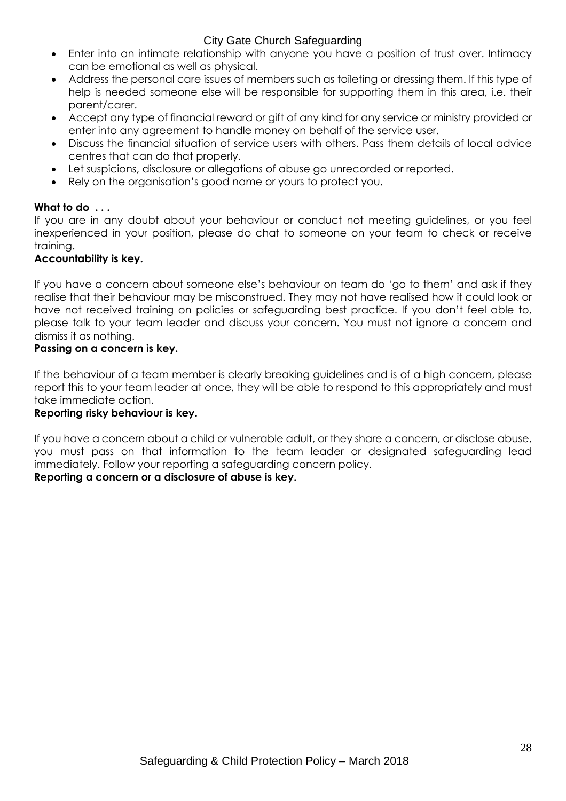- Enter into an intimate relationship with anyone you have a position of trust over. Intimacy can be emotional as well as physical.
- Address the personal care issues of members such as toileting or dressing them. If this type of help is needed someone else will be responsible for supporting them in this area, i.e. their parent/carer.
- Accept any type of financial reward or gift of any kind for any service or ministry provided or enter into any agreement to handle money on behalf of the service user.
- Discuss the financial situation of service users with others. Pass them details of local advice centres that can do that properly.
- Let suspicions, disclosure or allegations of abuse go unrecorded or reported.
- Rely on the organisation's good name or yours to protect you.

# **What to do . . .**

If you are in any doubt about your behaviour or conduct not meeting guidelines, or you feel inexperienced in your position, please do chat to someone on your team to check or receive training.

# **Accountability is key.**

If you have a concern about someone else's behaviour on team do 'go to them' and ask if they realise that their behaviour may be misconstrued. They may not have realised how it could look or have not received training on policies or safeguarding best practice. If you don't feel able to, please talk to your team leader and discuss your concern. You must not ignore a concern and dismiss it as nothing.

# **Passing on a concern is key.**

If the behaviour of a team member is clearly breaking guidelines and is of a high concern, please report this to your team leader at once, they will be able to respond to this appropriately and must take immediate action.

#### **Reporting risky behaviour is key.**

If you have a concern about a child or vulnerable adult, or they share a concern, or disclose abuse, you must pass on that information to the team leader or designated safeguarding lead immediately. Follow your reporting a safeguarding concern policy.

# **Reporting a concern or a disclosure of abuse is key.**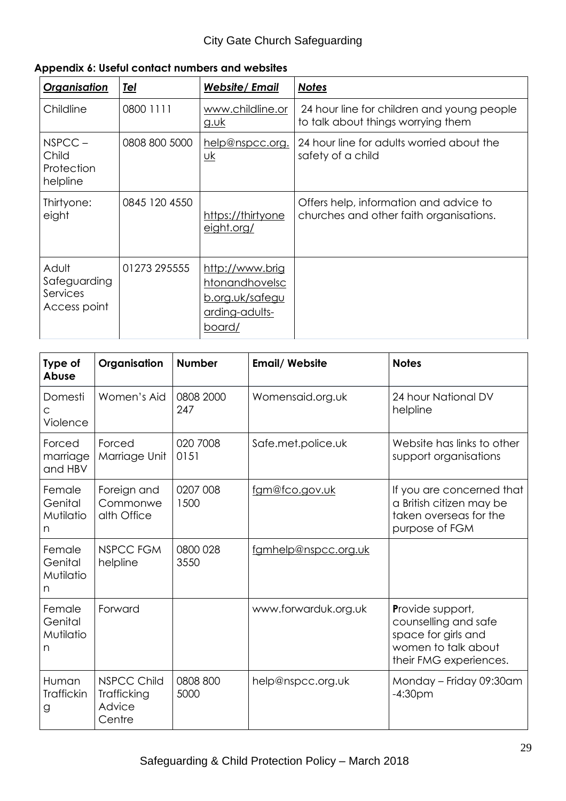| <b>Organisation</b>                               | <b>Tel</b>    | <b>Website/Email</b>                                                                    | <b>Notes</b>                                                                      |
|---------------------------------------------------|---------------|-----------------------------------------------------------------------------------------|-----------------------------------------------------------------------------------|
| Childline                                         | 0800 1111     | www.childline.or<br><u>g.uk</u>                                                         | 24 hour line for children and young people<br>to talk about things worrying them  |
| NSPCC-<br>Child<br>Protection<br>helpline         | 0808 800 5000 | help@nspcc.org.<br><u>uk</u>                                                            | 24 hour line for adults worried about the<br>safety of a child                    |
| Thirtyone:<br>eight                               | 0845 120 4550 | https://thirtyone<br>eight.org/                                                         | Offers help, information and advice to<br>churches and other faith organisations. |
| Adult<br>Safeguarding<br>Services<br>Access point | 01273 295555  | http://www.brig<br>htonandhovelsc<br><u>b.org.uk/safegu</u><br>arding-adults-<br>board/ |                                                                                   |

**Appendix 6: Useful contact numbers and websites**

| Type of<br>Abuse                    | Organisation                                          | <b>Number</b>    | <b>Email/Website</b> | <b>Notes</b>                                                                                                            |
|-------------------------------------|-------------------------------------------------------|------------------|----------------------|-------------------------------------------------------------------------------------------------------------------------|
| Domesti<br>С<br>Violence            | Women's Aid                                           | 0808 2000<br>247 | Womensaid.org.uk     | 24 hour National DV<br>helpline                                                                                         |
| Forced<br>marriage<br>and HBV       | Forced<br>Marriage Unit                               | 020 7008<br>0151 | Safe.met.police.uk   | Website has links to other<br>support organisations                                                                     |
| Female<br>Genital<br>Mutilatio<br>n | Foreign and<br>Commonwe<br>alth Office                | 0207 008<br>1500 | fgm@fco.gov.uk       | If you are concerned that<br>a British citizen may be<br>taken overseas for the<br>purpose of FGM                       |
| Female<br>Genital<br>Mutilatio<br>n | NSPCC FGM<br>helpline                                 | 0800 028<br>3550 | fgmhelp@nspcc.org.uk |                                                                                                                         |
| Female<br>Genital<br>Mutilatio<br>n | Forward                                               |                  | www.forwarduk.org.uk | <b>Provide support,</b><br>counselling and safe<br>space for girls and<br>women to talk about<br>their FMG experiences. |
| Human<br>Traffickin<br>g            | <b>NSPCC Child</b><br>Trafficking<br>Advice<br>Centre | 0808 800<br>5000 | help@nspcc.org.uk    | Monday - Friday 09:30am<br>$-4:30pm$                                                                                    |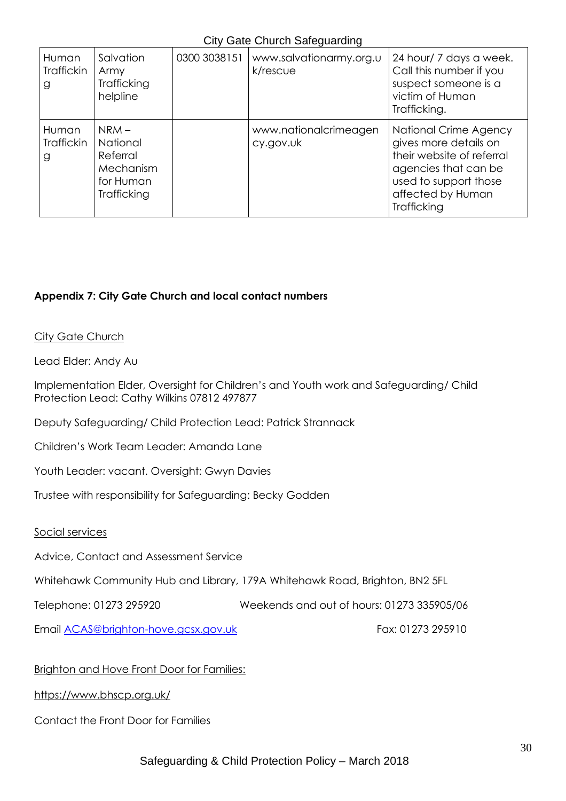| Human<br><b>Traffickin</b><br>g | Salvation<br>Army<br>Trafficking<br>helpline                                    | 0300 3038151 | www.salvationarmy.org.u<br>k/rescue | 24 hour/ 7 days a week.<br>Call this number if you<br>suspect someone is a<br>victim of Human<br>Trafficking.                                                    |
|---------------------------------|---------------------------------------------------------------------------------|--------------|-------------------------------------|------------------------------------------------------------------------------------------------------------------------------------------------------------------|
| Human<br><b>Traffickin</b><br>g | $NRM -$<br>National<br>Referral<br>Mechanism<br>for Human<br><b>Trafficking</b> |              | www.nationalcrimeagen<br>cy.gov.uk  | National Crime Agency<br>gives more details on<br>their website of referral<br>agencies that can be<br>used to support those<br>affected by Human<br>Trafficking |

# **Appendix 7: City Gate Church and local contact numbers**

# **City Gate Church**

Lead Elder: Andy Au

Implementation Elder, Oversight for Children's and Youth work and Safeguarding/ Child Protection Lead: Cathy Wilkins 07812 497877

Deputy Safeguarding/ Child Protection Lead: Patrick Strannack

Children's Work Team Leader: Amanda Lane

Youth Leader: vacant. Oversight: Gwyn Davies

Trustee with responsibility for Safeguarding: Becky Godden

#### Social services

Advice, Contact and Assessment Service

Whitehawk Community Hub and Library, 179A Whitehawk Road, Brighton, BN2 5FL

Telephone: 01273 295920 Weekends and out of hours: 01273 335905/06

Email [ACAS@brighton-hove.gcsx.gov.uk](mailto:ACAS@brighton-hove.gcsx.gov.uk) Fax: 01273 295910

#### Brighton and Hove Front Door for Families:

<https://www.bhscp.org.uk/>

Contact the Front Door for Families